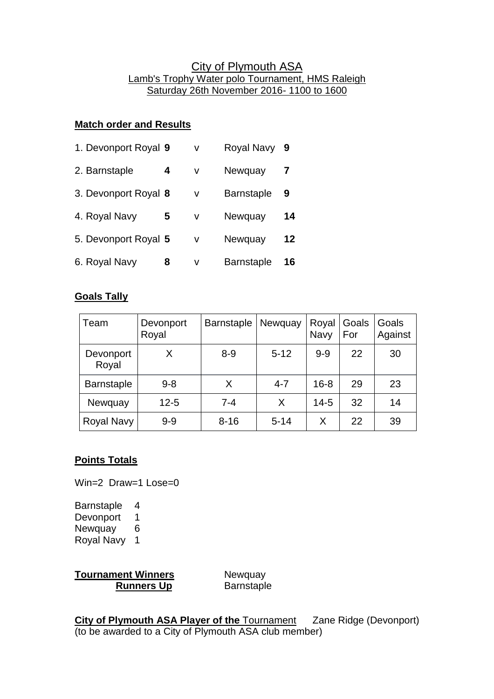# City of Plymouth ASA Lamb's Trophy Water polo Tournament, HMS Raleigh Saturday 26th November 2016- 1100 to 1600

## **Match order and Results**

| 1. Devonport Royal 9 |   | v | <b>Royal Navy</b> | -9 |
|----------------------|---|---|-------------------|----|
| 2. Barnstaple        | 4 | v | Newquay           |    |
| 3. Devonport Royal 8 |   | v | <b>Barnstaple</b> | 9  |
| 4. Royal Navy        | 5 | v | Newquay           | 14 |
| 5. Devonport Royal 5 |   | v | Newquay           | 12 |
| 6. Royal Navy        | 8 | v | <b>Barnstaple</b> | 16 |

## **Goals Tally**

| Team               | Devonport<br>Royal | <b>Barnstaple</b> | Newquay  | Royal<br>Navy | Goals<br>For | Goals<br>Against |
|--------------------|--------------------|-------------------|----------|---------------|--------------|------------------|
| Devonport<br>Royal | Х                  | $8 - 9$           | $5 - 12$ | $9 - 9$       | 22           | 30               |
| <b>Barnstaple</b>  | $9 - 8$            | X                 | $4 - 7$  | $16 - 8$      | 29           | 23               |
| Newquay            | $12 - 5$           | $7 - 4$           | X        | $14 - 5$      | 32           | 14               |
| Royal Navy         | $9 - 9$            | $8 - 16$          | $5 - 14$ | X             | 22           | 39               |

#### **Points Totals**

Win=2 Draw=1 Lose=0

Barnstaple 4 Devonport<sub>1</sub> Newquay 6 Royal Navy 1

**Tournament Winners** Newquay **Runners Up** Barnstaple

**City of Plymouth ASA Player of the Tournament** Zane Ridge (Devonport) (to be awarded to a City of Plymouth ASA club member)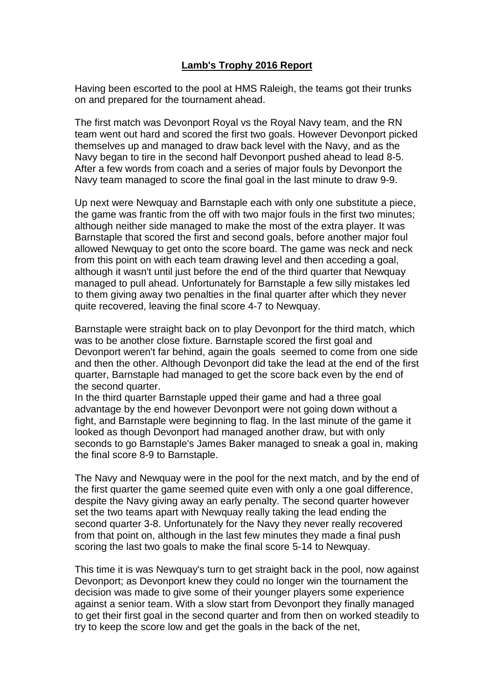#### **Lamb's Trophy 2016 Report**

Having been escorted to the pool at HMS Raleigh, the teams got their trunks on and prepared for the tournament ahead.

The first match was Devonport Royal vs the Royal Navy team, and the RN team went out hard and scored the first two goals. However Devonport picked themselves up and managed to draw back level with the Navy, and as the Navy began to tire in the second half Devonport pushed ahead to lead 8-5. After a few words from coach and a series of major fouls by Devonport the Navy team managed to score the final goal in the last minute to draw 9-9.

Up next were Newquay and Barnstaple each with only one substitute a piece, the game was frantic from the off with two major fouls in the first two minutes; although neither side managed to make the most of the extra player. It was Barnstaple that scored the first and second goals, before another major foul allowed Newquay to get onto the score board. The game was neck and neck from this point on with each team drawing level and then acceding a goal, although it wasn't until just before the end of the third quarter that Newquay managed to pull ahead. Unfortunately for Barnstaple a few silly mistakes led to them giving away two penalties in the final quarter after which they never quite recovered, leaving the final score 4-7 to Newquay.

Barnstaple were straight back on to play Devonport for the third match, which was to be another close fixture. Barnstaple scored the first goal and Devonport weren't far behind, again the goals seemed to come from one side and then the other. Although Devonport did take the lead at the end of the first quarter, Barnstaple had managed to get the score back even by the end of the second quarter.

In the third quarter Barnstaple upped their game and had a three goal advantage by the end however Devonport were not going down without a fight, and Barnstaple were beginning to flag. In the last minute of the game it looked as though Devonport had managed another draw, but with only seconds to go Barnstaple's James Baker managed to sneak a goal in, making the final score 8-9 to Barnstaple.

The Navy and Newquay were in the pool for the next match, and by the end of the first quarter the game seemed quite even with only a one goal difference, despite the Navy giving away an early penalty. The second quarter however set the two teams apart with Newquay really taking the lead ending the second quarter 3-8. Unfortunately for the Navy they never really recovered from that point on, although in the last few minutes they made a final push scoring the last two goals to make the final score 5-14 to Newquay.

This time it is was Newquay's turn to get straight back in the pool, now against Devonport; as Devonport knew they could no longer win the tournament the decision was made to give some of their younger players some experience against a senior team. With a slow start from Devonport they finally managed to get their first goal in the second quarter and from then on worked steadily to try to keep the score low and get the goals in the back of the net,